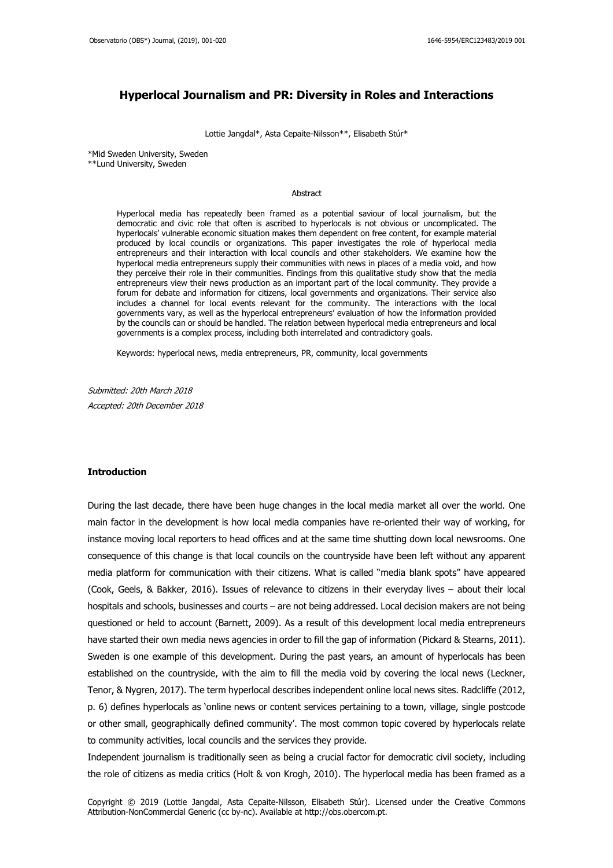## **Hyperlocal Journalism and PR: Diversity in Roles and Interactions**

Lottie Jangdal\*, Asta Cepaite-Nilsson\*\*, Elisabeth Stúr\*

\*Mid Sweden University, Sweden \*\*Lund University, Sweden

#### Abstract

Hyperlocal media has repeatedly been framed as a potential saviour of local journalism, but the democratic and civic role that often is ascribed to hyperlocals is not obvious or uncomplicated. The hyperlocals' vulnerable economic situation makes them dependent on free content, for example material produced by local councils or organizations. This paper investigates the role of hyperlocal media entrepreneurs and their interaction with local councils and other stakeholders. We examine how the hyperlocal media entrepreneurs supply their communities with news in places of a media void, and how they perceive their role in their communities. Findings from this qualitative study show that the media entrepreneurs view their news production as an important part of the local community. They provide a forum for debate and information for citizens, local governments and organizations. Their service also includes a channel for local events relevant for the community. The interactions with the local governments vary, as well as the hyperlocal entrepreneurs' evaluation of how the information provided by the councils can or should be handled. The relation between hyperlocal media entrepreneurs and local governments is a complex process, including both interrelated and contradictory goals.

Keywords: hyperlocal news, media entrepreneurs, PR, community, local governments

Submitted: 20th March 2018 Accepted: 20th December 2018

#### **Introduction**

During the last decade, there have been huge changes in the local media market all over the world. One main factor in the development is how local media companies have re-oriented their way of working, for instance moving local reporters to head offices and at the same time shutting down local newsrooms. One consequence of this change is that local councils on the countryside have been left without any apparent media platform for communication with their citizens. What is called "media blank spots" have appeared (Cook, Geels, & Bakker, 2016). Issues of relevance to citizens in their everyday lives – about their local hospitals and schools, businesses and courts – are not being addressed. Local decision makers are not being questioned or held to account (Barnett, 2009). As a result of this development local media entrepreneurs have started their own media news agencies in order to fill the gap of information (Pickard & Stearns, 2011). Sweden is one example of this development. During the past years, an amount of hyperlocals has been established on the countryside, with the aim to fill the media void by covering the local news (Leckner, Tenor, & Nygren, 2017). The term hyperlocal describes independent online local news sites. Radcliffe (2012, p. 6) defines hyperlocals as 'online news or content services pertaining to a town, village, single postcode or other small, geographically defined community'. The most common topic covered by hyperlocals relate to community activities, local councils and the services they provide.

Independent journalism is traditionally seen as being a crucial factor for democratic civil society, including the role of citizens as media critics (Holt & von Krogh, 2010). The hyperlocal media has been framed as a

Copyright © 2019 (Lottie Jangdal, Asta Cepaite-Nilsson, Elisabeth Stúr). Licensed under the Creative Commons Attribution-NonCommercial Generic (cc by-nc). Available at http://obs.obercom.pt.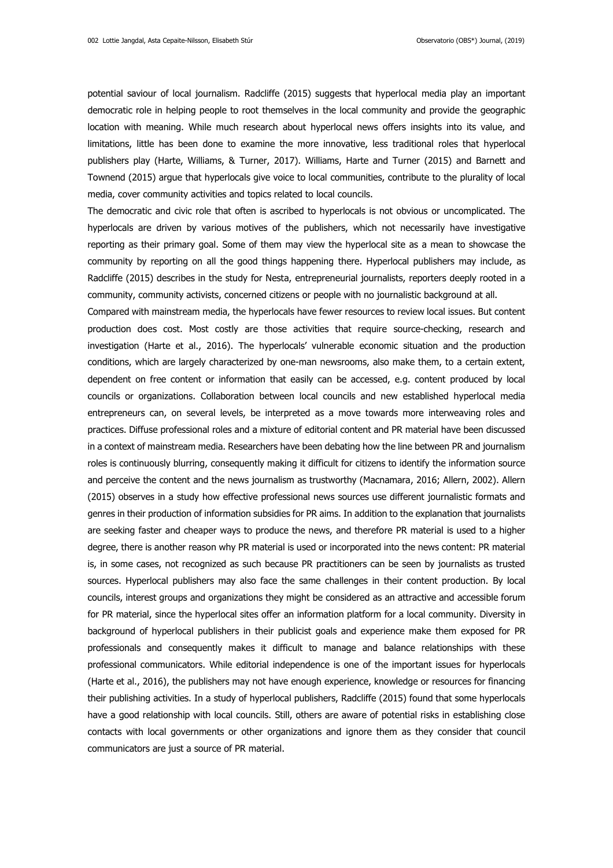potential saviour of local journalism. Radcliffe (2015) suggests that hyperlocal media play an important democratic role in helping people to root themselves in the local community and provide the geographic location with meaning. While much research about hyperlocal news offers insights into its value, and limitations, little has been done to examine the more innovative, less traditional roles that hyperlocal publishers play (Harte, Williams, & Turner, 2017). Williams, Harte and Turner (2015) and Barnett and Townend (2015) argue that hyperlocals give voice to local communities, contribute to the plurality of local media, cover community activities and topics related to local councils.

The democratic and civic role that often is ascribed to hyperlocals is not obvious or uncomplicated. The hyperlocals are driven by various motives of the publishers, which not necessarily have investigative reporting as their primary goal. Some of them may view the hyperlocal site as a mean to showcase the community by reporting on all the good things happening there. Hyperlocal publishers may include, as Radcliffe (2015) describes in the study for Nesta, entrepreneurial journalists, reporters deeply rooted in a community, community activists, concerned citizens or people with no journalistic background at all.

Compared with mainstream media, the hyperlocals have fewer resources to review local issues. But content production does cost. Most costly are those activities that require source-checking, research and investigation (Harte et al., 2016). The hyperlocals' vulnerable economic situation and the production conditions, which are largely characterized by one-man newsrooms, also make them, to a certain extent, dependent on free content or information that easily can be accessed, e.g. content produced by local councils or organizations. Collaboration between local councils and new established hyperlocal media entrepreneurs can, on several levels, be interpreted as a move towards more interweaving roles and practices. Diffuse professional roles and a mixture of editorial content and PR material have been discussed in a context of mainstream media. Researchers have been debating how the line between PR and journalism roles is continuously blurring, consequently making it difficult for citizens to identify the information source and perceive the content and the news journalism as trustworthy (Macnamara, 2016; Allern, 2002). Allern (2015) observes in a study how effective professional news sources use different journalistic formats and genres in their production of information subsidies for PR aims. In addition to the explanation that journalists are seeking faster and cheaper ways to produce the news, and therefore PR material is used to a higher degree, there is another reason why PR material is used or incorporated into the news content: PR material is, in some cases, not recognized as such because PR practitioners can be seen by journalists as trusted sources. Hyperlocal publishers may also face the same challenges in their content production. By local councils, interest groups and organizations they might be considered as an attractive and accessible forum for PR material, since the hyperlocal sites offer an information platform for a local community. Diversity in background of hyperlocal publishers in their publicist goals and experience make them exposed for PR professionals and consequently makes it difficult to manage and balance relationships with these professional communicators. While editorial independence is one of the important issues for hyperlocals (Harte et al., 2016), the publishers may not have enough experience, knowledge or resources for financing their publishing activities. In a study of hyperlocal publishers, Radcliffe (2015) found that some hyperlocals have a good relationship with local councils. Still, others are aware of potential risks in establishing close contacts with local governments or other organizations and ignore them as they consider that council communicators are just a source of PR material.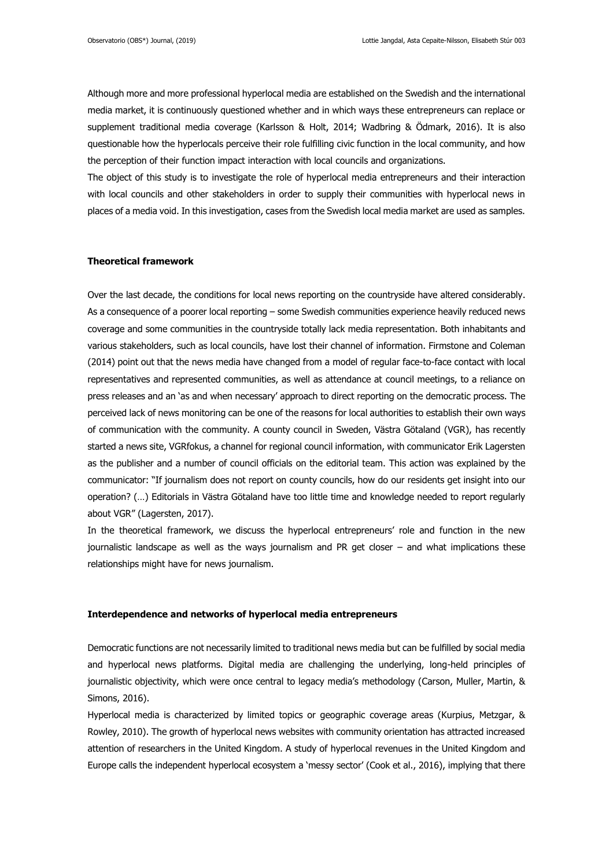Although more and more professional hyperlocal media are established on the Swedish and the international media market, it is continuously questioned whether and in which ways these entrepreneurs can replace or supplement traditional media coverage (Karlsson & Holt, 2014; Wadbring & Ödmark, 2016). It is also questionable how the hyperlocals perceive their role fulfilling civic function in the local community, and how the perception of their function impact interaction with local councils and organizations.

The object of this study is to investigate the role of hyperlocal media entrepreneurs and their interaction with local councils and other stakeholders in order to supply their communities with hyperlocal news in places of a media void. In this investigation, cases from the Swedish local media market are used as samples.

#### **Theoretical framework**

Over the last decade, the conditions for local news reporting on the countryside have altered considerably. As a consequence of a poorer local reporting – some Swedish communities experience heavily reduced news coverage and some communities in the countryside totally lack media representation. Both inhabitants and various stakeholders, such as local councils, have lost their channel of information. Firmstone and Coleman (2014) point out that the news media have changed from a model of regular face-to-face contact with local representatives and represented communities, as well as attendance at council meetings, to a reliance on press releases and an 'as and when necessary' approach to direct reporting on the democratic process. The perceived lack of news monitoring can be one of the reasons for local authorities to establish their own ways of communication with the community. A county council in Sweden, Västra Götaland (VGR), has recently started a news site, VGRfokus, a channel for regional council information, with communicator Erik Lagersten as the publisher and a number of council officials on the editorial team. This action was explained by the communicator: "If journalism does not report on county councils, how do our residents get insight into our operation? (…) Editorials in Västra Götaland have too little time and knowledge needed to report regularly about VGR" (Lagersten, 2017).

In the theoretical framework, we discuss the hyperlocal entrepreneurs' role and function in the new journalistic landscape as well as the ways journalism and PR get closer – and what implications these relationships might have for news journalism.

### **Interdependence and networks of hyperlocal media entrepreneurs**

Democratic functions are not necessarily limited to traditional news media but can be fulfilled by social media and hyperlocal news platforms. Digital media are challenging the underlying, long-held principles of journalistic objectivity, which were once central to legacy media's methodology (Carson, Muller, Martin, & Simons, 2016).

Hyperlocal media is characterized by limited topics or geographic coverage areas (Kurpius, Metzgar, & Rowley, 2010). The growth of hyperlocal news websites with community orientation has attracted increased attention of researchers in the United Kingdom. A study of hyperlocal revenues in the United Kingdom and Europe calls the independent hyperlocal ecosystem a 'messy sector' (Cook et al., 2016), implying that there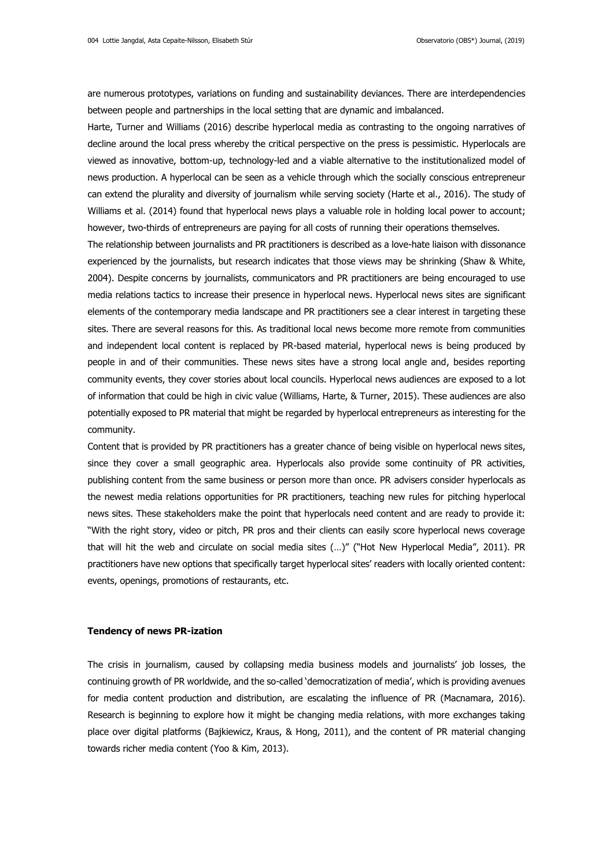are numerous prototypes, variations on funding and sustainability deviances. There are interdependencies between people and partnerships in the local setting that are dynamic and imbalanced.

Harte, Turner and Williams (2016) describe hyperlocal media as contrasting to the ongoing narratives of decline around the local press whereby the critical perspective on the press is pessimistic. Hyperlocals are viewed as innovative, bottom-up, technology-led and a viable alternative to the institutionalized model of news production. A hyperlocal can be seen as a vehicle through which the socially conscious entrepreneur can extend the plurality and diversity of journalism while serving society (Harte et al., 2016). The study of Williams et al. (2014) found that hyperlocal news plays a valuable role in holding local power to account; however, two-thirds of entrepreneurs are paying for all costs of running their operations themselves.

The relationship between journalists and PR practitioners is described as a love-hate liaison with dissonance experienced by the journalists, but research indicates that those views may be shrinking (Shaw & White, 2004). Despite concerns by journalists, communicators and PR practitioners are being encouraged to use media relations tactics to increase their presence in hyperlocal news. Hyperlocal news sites are significant elements of the contemporary media landscape and PR practitioners see a clear interest in targeting these sites. There are several reasons for this. As traditional local news become more remote from communities and independent local content is replaced by PR-based material, hyperlocal news is being produced by people in and of their communities. These news sites have a strong local angle and, besides reporting community events, they cover stories about local councils. Hyperlocal news audiences are exposed to a lot of information that could be high in civic value (Williams, Harte, & Turner, 2015). These audiences are also potentially exposed to PR material that might be regarded by hyperlocal entrepreneurs as interesting for the community.

Content that is provided by PR practitioners has a greater chance of being visible on hyperlocal news sites, since they cover a small geographic area. Hyperlocals also provide some continuity of PR activities, publishing content from the same business or person more than once. PR advisers consider hyperlocals as the newest media relations opportunities for PR practitioners, teaching new rules for pitching hyperlocal news sites. These stakeholders make the point that hyperlocals need content and are ready to provide it: "With the right story, video or pitch, PR pros and their clients can easily score hyperlocal news coverage that will hit the web and circulate on social media sites (…)" ("Hot New Hyperlocal Media", 2011). PR practitioners have new options that specifically target hyperlocal sites' readers with locally oriented content: events, openings, promotions of restaurants, etc.

#### **Tendency of news PR-ization**

The crisis in journalism, caused by collapsing media business models and journalists' job losses, the continuing growth of PR worldwide, and the so-called 'democratization of media', which is providing avenues for media content production and distribution, are escalating the influence of PR (Macnamara, 2016). Research is beginning to explore how it might be changing media relations, with more exchanges taking place over digital platforms (Bajkiewicz, Kraus, & Hong, 2011), and the content of PR material changing towards richer media content (Yoo & Kim, 2013).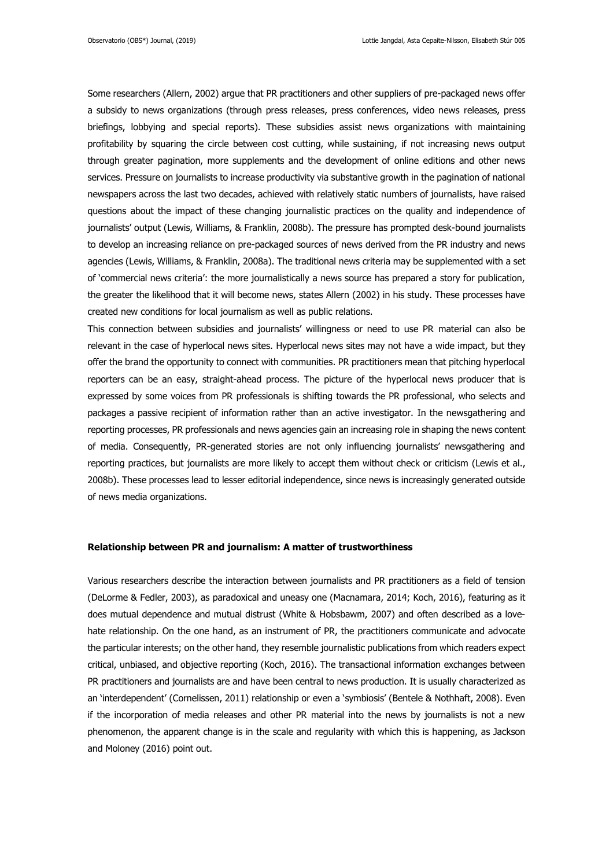Some researchers (Allern, 2002) argue that PR practitioners and other suppliers of pre-packaged news offer a subsidy to news organizations (through press releases, press conferences, video news releases, press briefings, lobbying and special reports). These subsidies assist news organizations with maintaining profitability by squaring the circle between cost cutting, while sustaining, if not increasing news output through greater pagination, more supplements and the development of online editions and other news services. Pressure on journalists to increase productivity via substantive growth in the pagination of national newspapers across the last two decades, achieved with relatively static numbers of journalists, have raised questions about the impact of these changing journalistic practices on the quality and independence of journalists' output (Lewis, Williams, & Franklin, 2008b). The pressure has prompted desk-bound journalists to develop an increasing reliance on pre-packaged sources of news derived from the PR industry and news agencies (Lewis, Williams, & Franklin, 2008a). The traditional news criteria may be supplemented with a set of 'commercial news criteria': the more journalistically a news source has prepared a story for publication, the greater the likelihood that it will become news, states Allern (2002) in his study. These processes have created new conditions for local journalism as well as public relations.

This connection between subsidies and journalists' willingness or need to use PR material can also be relevant in the case of hyperlocal news sites. Hyperlocal news sites may not have a wide impact, but they offer the brand the opportunity to connect with communities. PR practitioners mean that pitching hyperlocal reporters can be an easy, straight-ahead process. The picture of the hyperlocal news producer that is expressed by some voices from PR professionals is shifting towards the PR professional, who selects and packages a passive recipient of information rather than an active investigator. In the newsgathering and reporting processes, PR professionals and news agencies gain an increasing role in shaping the news content of media. Consequently, PR-generated stories are not only influencing journalists' newsgathering and reporting practices, but journalists are more likely to accept them without check or criticism (Lewis et al., 2008b). These processes lead to lesser editorial independence, since news is increasingly generated outside of news media organizations.

#### **Relationship between PR and journalism: A matter of trustworthiness**

Various researchers describe the interaction between journalists and PR practitioners as a field of tension (DeLorme & Fedler, 2003), as paradoxical and uneasy one (Macnamara, 2014; Koch, 2016), featuring as it does mutual dependence and mutual distrust (White & Hobsbawm, 2007) and often described as a lovehate relationship. On the one hand, as an instrument of PR, the practitioners communicate and advocate the particular interests; on the other hand, they resemble journalistic publications from which readers expect critical, unbiased, and objective reporting (Koch, 2016). The transactional information exchanges between PR practitioners and journalists are and have been central to news production. It is usually characterized as an 'interdependent' (Cornelissen, 2011) relationship or even a 'symbiosis' (Bentele & Nothhaft, 2008). Even if the incorporation of media releases and other PR material into the news by journalists is not a new phenomenon, the apparent change is in the scale and regularity with which this is happening, as Jackson and Moloney (2016) point out.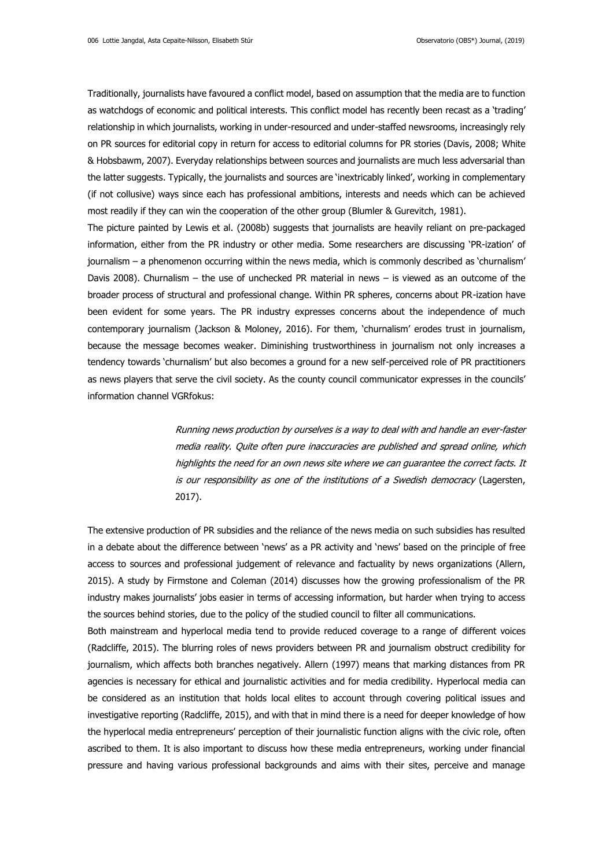Traditionally, journalists have favoured a conflict model, based on assumption that the media are to function as watchdogs of economic and political interests. This conflict model has recently been recast as a 'trading' relationship in which journalists, working in under-resourced and under-staffed newsrooms, increasingly rely on PR sources for editorial copy in return for access to editorial columns for PR stories (Davis, 2008; White & Hobsbawm, 2007). Everyday relationships between sources and journalists are much less adversarial than the latter suggests. Typically, the journalists and sources are 'inextricably linked', working in complementary (if not collusive) ways since each has professional ambitions, interests and needs which can be achieved most readily if they can win the cooperation of the other group (Blumler & Gurevitch, 1981).

The picture painted by Lewis et al. (2008b) suggests that journalists are heavily reliant on pre-packaged information, either from the PR industry or other media. Some researchers are discussing 'PR-ization' of journalism – a phenomenon occurring within the news media, which is commonly described as 'churnalism' Davis 2008). Churnalism – the use of unchecked PR material in news – is viewed as an outcome of the broader process of structural and professional change. Within PR spheres, concerns about PR-ization have been evident for some years. The PR industry expresses concerns about the independence of much contemporary journalism (Jackson & Moloney, 2016). For them, 'churnalism' erodes trust in journalism, because the message becomes weaker. Diminishing trustworthiness in journalism not only increases a tendency towards 'churnalism' but also becomes a ground for a new self-perceived role of PR practitioners as news players that serve the civil society. As the county council communicator expresses in the councils' information channel VGRfokus:

> Running news production by ourselves is a way to deal with and handle an ever-faster media reality. Quite often pure inaccuracies are published and spread online, which highlights the need for an own news site where we can guarantee the correct facts. It is our responsibility as one of the institutions of a Swedish democracy (Lagersten, 2017).

The extensive production of PR subsidies and the reliance of the news media on such subsidies has resulted in a debate about the difference between 'news' as a PR activity and 'news' based on the principle of free access to sources and professional judgement of relevance and factuality by news organizations (Allern, 2015). A study by Firmstone and Coleman (2014) discusses how the growing professionalism of the PR industry makes journalists' jobs easier in terms of accessing information, but harder when trying to access the sources behind stories, due to the policy of the studied council to filter all communications.

Both mainstream and hyperlocal media tend to provide reduced coverage to a range of different voices (Radcliffe, 2015). The blurring roles of news providers between PR and journalism obstruct credibility for journalism, which affects both branches negatively. Allern (1997) means that marking distances from PR agencies is necessary for ethical and journalistic activities and for media credibility. Hyperlocal media can be considered as an institution that holds local elites to account through covering political issues and investigative reporting (Radcliffe, 2015), and with that in mind there is a need for deeper knowledge of how the hyperlocal media entrepreneurs' perception of their journalistic function aligns with the civic role, often ascribed to them. It is also important to discuss how these media entrepreneurs, working under financial pressure and having various professional backgrounds and aims with their sites, perceive and manage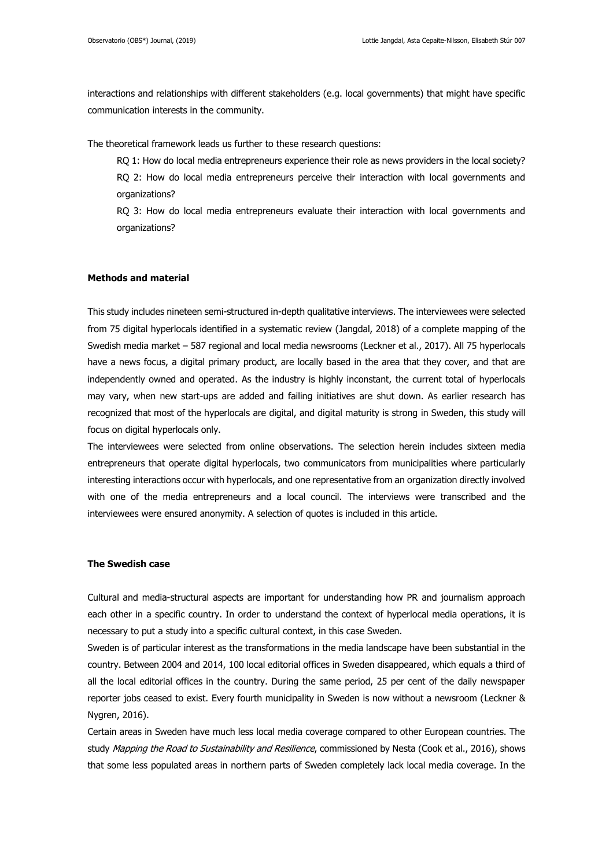interactions and relationships with different stakeholders (e.g. local governments) that might have specific communication interests in the community.

The theoretical framework leads us further to these research questions:

RQ 1: How do local media entrepreneurs experience their role as news providers in the local society?

RQ 2: How do local media entrepreneurs perceive their interaction with local governments and organizations?

RQ 3: How do local media entrepreneurs evaluate their interaction with local governments and organizations?

### **Methods and material**

This study includes nineteen semi-structured in-depth qualitative interviews. The interviewees were selected from 75 digital hyperlocals identified in a systematic review (Jangdal, 2018) of a complete mapping of the Swedish media market – 587 regional and local media newsrooms (Leckner et al., 2017). All 75 hyperlocals have a news focus, a digital primary product, are locally based in the area that they cover, and that are independently owned and operated. As the industry is highly inconstant, the current total of hyperlocals may vary, when new start-ups are added and failing initiatives are shut down. As earlier research has recognized that most of the hyperlocals are digital, and digital maturity is strong in Sweden, this study will focus on digital hyperlocals only.

The interviewees were selected from online observations. The selection herein includes sixteen media entrepreneurs that operate digital hyperlocals, two communicators from municipalities where particularly interesting interactions occur with hyperlocals, and one representative from an organization directly involved with one of the media entrepreneurs and a local council. The interviews were transcribed and the interviewees were ensured anonymity. A selection of quotes is included in this article.

#### **The Swedish case**

Cultural and media-structural aspects are important for understanding how PR and journalism approach each other in a specific country. In order to understand the context of hyperlocal media operations, it is necessary to put a study into a specific cultural context, in this case Sweden.

Sweden is of particular interest as the transformations in the media landscape have been substantial in the country. Between 2004 and 2014, 100 local editorial offices in Sweden disappeared, which equals a third of all the local editorial offices in the country. During the same period, 25 per cent of the daily newspaper reporter jobs ceased to exist. Every fourth municipality in Sweden is now without a newsroom (Leckner & Nygren, 2016).

Certain areas in Sweden have much less local media coverage compared to other European countries. The study Mapping the Road to Sustainability and Resilience, commissioned by Nesta (Cook et al., 2016), shows that some less populated areas in northern parts of Sweden completely lack local media coverage. In the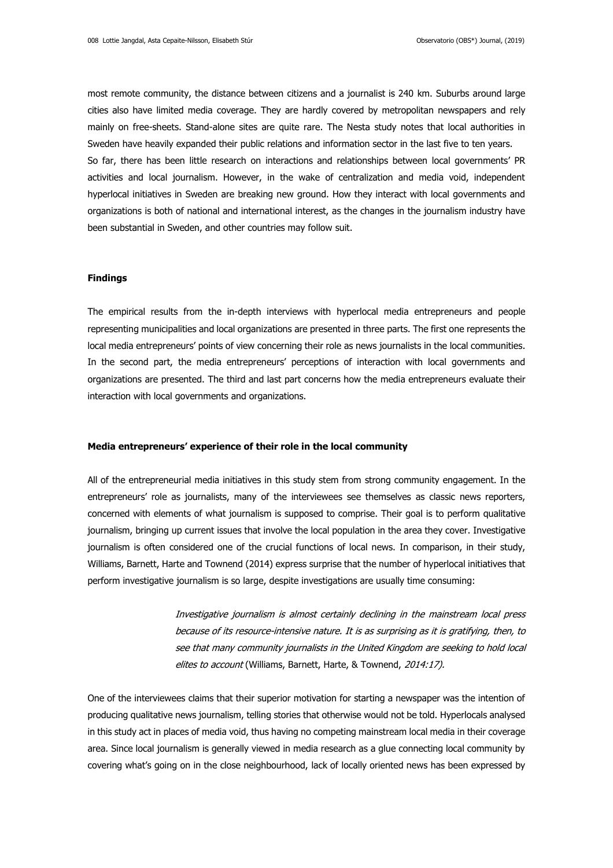most remote community, the distance between citizens and a journalist is 240 km. Suburbs around large cities also have limited media coverage. They are hardly covered by metropolitan newspapers and rely mainly on free-sheets. Stand-alone sites are quite rare. The Nesta study notes that local authorities in Sweden have heavily expanded their public relations and information sector in the last five to ten years. So far, there has been little research on interactions and relationships between local governments' PR activities and local journalism. However, in the wake of centralization and media void, independent hyperlocal initiatives in Sweden are breaking new ground. How they interact with local governments and organizations is both of national and international interest, as the changes in the journalism industry have been substantial in Sweden, and other countries may follow suit.

### **Findings**

The empirical results from the in-depth interviews with hyperlocal media entrepreneurs and people representing municipalities and local organizations are presented in three parts. The first one represents the local media entrepreneurs' points of view concerning their role as news journalists in the local communities. In the second part, the media entrepreneurs' perceptions of interaction with local governments and organizations are presented. The third and last part concerns how the media entrepreneurs evaluate their interaction with local governments and organizations.

### **Media entrepreneurs' experience of their role in the local community**

All of the entrepreneurial media initiatives in this study stem from strong community engagement. In the entrepreneurs' role as journalists, many of the interviewees see themselves as classic news reporters, concerned with elements of what journalism is supposed to comprise. Their goal is to perform qualitative journalism, bringing up current issues that involve the local population in the area they cover. Investigative journalism is often considered one of the crucial functions of local news. In comparison, in their study, Williams, Barnett, Harte and Townend (2014) express surprise that the number of hyperlocal initiatives that perform investigative journalism is so large, despite investigations are usually time consuming:

> Investigative journalism is almost certainly declining in the mainstream local press because of its resource-intensive nature. It is as surprising as it is gratifying, then, to see that many community journalists in the United Kingdom are seeking to hold local elites to account (Williams, Barnett, Harte, & Townend, 2014:17).

One of the interviewees claims that their superior motivation for starting a newspaper was the intention of producing qualitative news journalism, telling stories that otherwise would not be told. Hyperlocals analysed in this study act in places of media void, thus having no competing mainstream local media in their coverage area. Since local journalism is generally viewed in media research as a glue connecting local community by covering what's going on in the close neighbourhood, lack of locally oriented news has been expressed by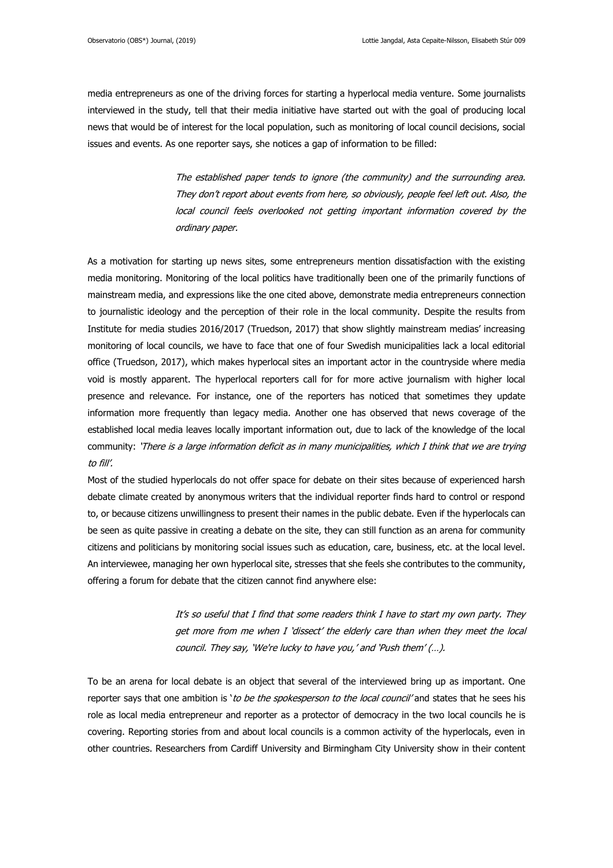media entrepreneurs as one of the driving forces for starting a hyperlocal media venture. Some journalists interviewed in the study, tell that their media initiative have started out with the goal of producing local news that would be of interest for the local population, such as monitoring of local council decisions, social issues and events. As one reporter says, she notices a gap of information to be filled:

> The established paper tends to ignore (the community) and the surrounding area. They don't report about events from here, so obviously, people feel left out. Also, the local council feels overlooked not getting important information covered by the ordinary paper.

As a motivation for starting up news sites, some entrepreneurs mention dissatisfaction with the existing media monitoring. Monitoring of the local politics have traditionally been one of the primarily functions of mainstream media, and expressions like the one cited above, demonstrate media entrepreneurs connection to journalistic ideology and the perception of their role in the local community. Despite the results from Institute for media studies 2016/2017 (Truedson, 2017) that show slightly mainstream medias' increasing monitoring of local councils, we have to face that one of four Swedish municipalities lack a local editorial office (Truedson, 2017), which makes hyperlocal sites an important actor in the countryside where media void is mostly apparent. The hyperlocal reporters call for for more active journalism with higher local presence and relevance. For instance, one of the reporters has noticed that sometimes they update information more frequently than legacy media. Another one has observed that news coverage of the established local media leaves locally important information out, due to lack of the knowledge of the local community: 'There is a large information deficit as in many municipalities, which I think that we are trying to fill'.

Most of the studied hyperlocals do not offer space for debate on their sites because of experienced harsh debate climate created by anonymous writers that the individual reporter finds hard to control or respond to, or because citizens unwillingness to present their names in the public debate. Even if the hyperlocals can be seen as quite passive in creating a debate on the site, they can still function as an arena for community citizens and politicians by monitoring social issues such as education, care, business, etc. at the local level. An interviewee, managing her own hyperlocal site, stresses that she feels she contributes to the community, offering a forum for debate that the citizen cannot find anywhere else:

> It's so useful that I find that some readers think I have to start my own party. They get more from me when I 'dissect' the elderly care than when they meet the local council. They say, 'We're lucky to have you,' and 'Push them' (…).

To be an arena for local debate is an object that several of the interviewed bring up as important. One reporter says that one ambition is 'to be the spokesperson to the local council' and states that he sees his role as local media entrepreneur and reporter as a protector of democracy in the two local councils he is covering. Reporting stories from and about local councils is a common activity of the hyperlocals, even in other countries. Researchers from Cardiff University and Birmingham City University show in their content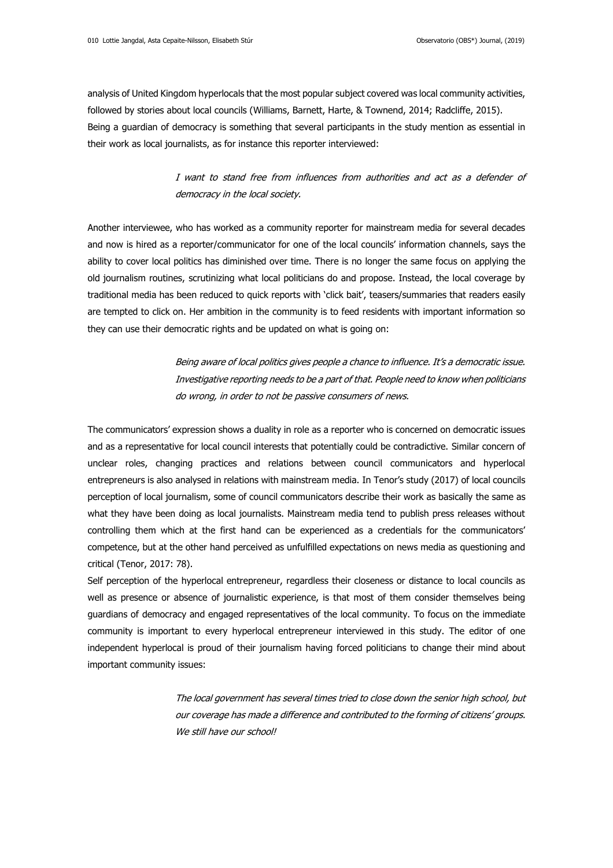analysis of United Kingdom hyperlocals that the most popular subject covered was local community activities, followed by stories about local councils (Williams, Barnett, Harte, & Townend, 2014; Radcliffe, 2015). Being a guardian of democracy is something that several participants in the study mention as essential in their work as local journalists, as for instance this reporter interviewed:

# I want to stand free from influences from authorities and act as a defender of democracy in the local society.

Another interviewee, who has worked as a community reporter for mainstream media for several decades and now is hired as a reporter/communicator for one of the local councils' information channels, says the ability to cover local politics has diminished over time. There is no longer the same focus on applying the old journalism routines, scrutinizing what local politicians do and propose. Instead, the local coverage by traditional media has been reduced to quick reports with 'click bait', teasers/summaries that readers easily are tempted to click on. Her ambition in the community is to feed residents with important information so they can use their democratic rights and be updated on what is going on:

> Being aware of local politics gives people a chance to influence. It's a democratic issue. Investigative reporting needs to be a part of that. People need to know when politicians do wrong, in order to not be passive consumers of news.

The communicators' expression shows a duality in role as a reporter who is concerned on democratic issues and as a representative for local council interests that potentially could be contradictive. Similar concern of unclear roles, changing practices and relations between council communicators and hyperlocal entrepreneurs is also analysed in relations with mainstream media. In Tenor's study (2017) of local councils perception of local journalism, some of council communicators describe their work as basically the same as what they have been doing as local journalists. Mainstream media tend to publish press releases without controlling them which at the first hand can be experienced as a credentials for the communicators' competence, but at the other hand perceived as unfulfilled expectations on news media as questioning and critical (Tenor, 2017: 78).

Self perception of the hyperlocal entrepreneur, regardless their closeness or distance to local councils as well as presence or absence of journalistic experience, is that most of them consider themselves being guardians of democracy and engaged representatives of the local community. To focus on the immediate community is important to every hyperlocal entrepreneur interviewed in this study. The editor of one independent hyperlocal is proud of their journalism having forced politicians to change their mind about important community issues:

> The local government has several times tried to close down the senior high school, but our coverage has made a difference and contributed to the forming of citizens' groups. We still have our school!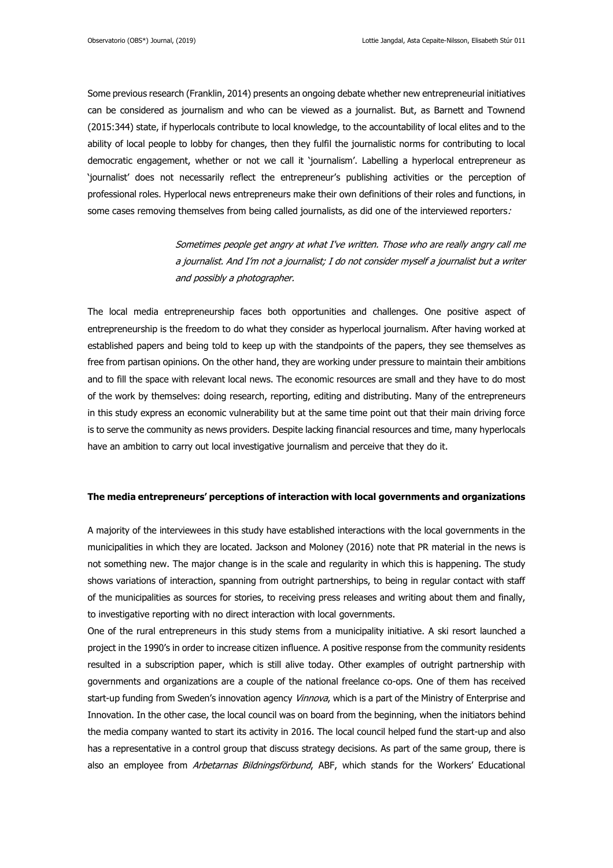Some previous research (Franklin, 2014) presents an ongoing debate whether new entrepreneurial initiatives can be considered as journalism and who can be viewed as a journalist. But, as Barnett and Townend (2015:344) state, if hyperlocals contribute to local knowledge, to the accountability of local elites and to the ability of local people to lobby for changes, then they fulfil the journalistic norms for contributing to local democratic engagement, whether or not we call it 'journalism'. Labelling a hyperlocal entrepreneur as 'journalist' does not necessarily reflect the entrepreneur's publishing activities or the perception of professional roles. Hyperlocal news entrepreneurs make their own definitions of their roles and functions, in some cases removing themselves from being called journalists, as did one of the interviewed reporters.

> Sometimes people get angry at what I've written. Those who are really angry call me a journalist. And I'm not a journalist; I do not consider myself a journalist but a writer and possibly a photographer.

The local media entrepreneurship faces both opportunities and challenges. One positive aspect of entrepreneurship is the freedom to do what they consider as hyperlocal journalism. After having worked at established papers and being told to keep up with the standpoints of the papers, they see themselves as free from partisan opinions. On the other hand, they are working under pressure to maintain their ambitions and to fill the space with relevant local news. The economic resources are small and they have to do most of the work by themselves: doing research, reporting, editing and distributing. Many of the entrepreneurs in this study express an economic vulnerability but at the same time point out that their main driving force is to serve the community as news providers. Despite lacking financial resources and time, many hyperlocals have an ambition to carry out local investigative journalism and perceive that they do it.

#### **The media entrepreneurs' perceptions of interaction with local governments and organizations**

A majority of the interviewees in this study have established interactions with the local governments in the municipalities in which they are located. Jackson and Moloney (2016) note that PR material in the news is not something new. The major change is in the scale and regularity in which this is happening. The study shows variations of interaction, spanning from outright partnerships, to being in regular contact with staff of the municipalities as sources for stories, to receiving press releases and writing about them and finally, to investigative reporting with no direct interaction with local governments.

One of the rural entrepreneurs in this study stems from a municipality initiative. A ski resort launched a project in the 1990's in order to increase citizen influence. A positive response from the community residents resulted in a subscription paper, which is still alive today. Other examples of outright partnership with governments and organizations are a couple of the national freelance co-ops. One of them has received start-up funding from Sweden's innovation agency Vinnova, which is a part of the Ministry of Enterprise and Innovation. In the other case, the local council was on board from the beginning, when the initiators behind the media company wanted to start its activity in 2016. The local council helped fund the start-up and also has a representative in a control group that discuss strategy decisions. As part of the same group, there is also an employee from Arbetarnas Bildningsförbund, ABF, which stands for the Workers' Educational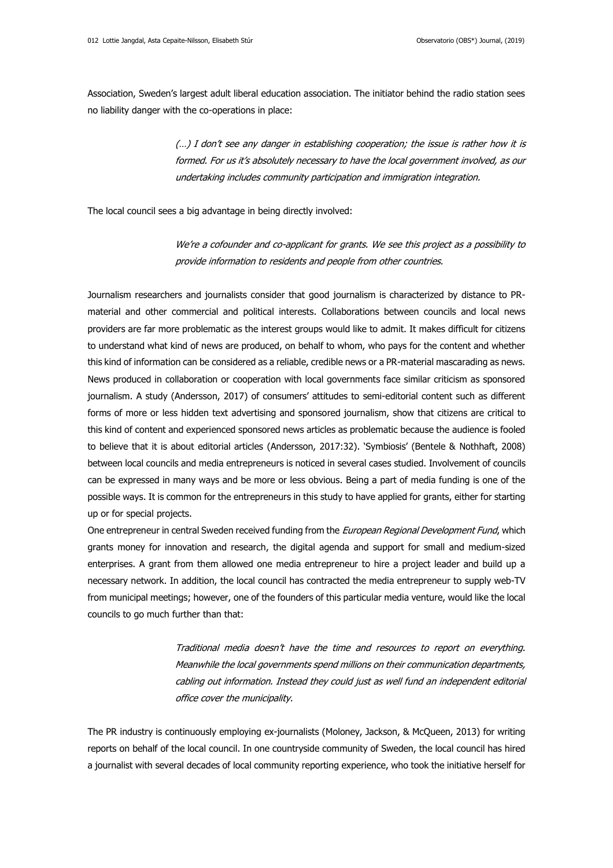Association, Sweden's largest adult liberal education association. The initiator behind the radio station sees no liability danger with the co-operations in place:

> (…) I don't see any danger in establishing cooperation; the issue is rather how it is formed. For us it's absolutely necessary to have the local government involved, as our undertaking includes community participation and immigration integration.

The local council sees a big advantage in being directly involved:

We're a cofounder and co-applicant for grants. We see this project as a possibility to provide information to residents and people from other countries.

Journalism researchers and journalists consider that good journalism is characterized by distance to PRmaterial and other commercial and political interests. Collaborations between councils and local news providers are far more problematic as the interest groups would like to admit. It makes difficult for citizens to understand what kind of news are produced, on behalf to whom, who pays for the content and whether this kind of information can be considered as a reliable, credible news or a PR-material mascarading as news. News produced in collaboration or cooperation with local governments face similar criticism as sponsored journalism. A study (Andersson, 2017) of consumers' attitudes to semi-editorial content such as different forms of more or less hidden text advertising and sponsored journalism, show that citizens are critical to this kind of content and experienced sponsored news articles as problematic because the audience is fooled to believe that it is about editorial articles (Andersson, 2017:32). 'Symbiosis' (Bentele & Nothhaft, 2008) between local councils and media entrepreneurs is noticed in several cases studied. Involvement of councils can be expressed in many ways and be more or less obvious. Being a part of media funding is one of the possible ways. It is common for the entrepreneurs in this study to have applied for grants, either for starting up or for special projects.

One entrepreneur in central Sweden received funding from the European Regional Development Fund, which grants money for innovation and research, the digital agenda and support for small and medium-sized enterprises. A grant from them allowed one media entrepreneur to hire a project leader and build up a necessary network. In addition, the local council has contracted the media entrepreneur to supply web-TV from municipal meetings; however, one of the founders of this particular media venture, would like the local councils to go much further than that:

> Traditional media doesn't have the time and resources to report on everything. Meanwhile the local governments spend millions on their communication departments, cabling out information. Instead they could just as well fund an independent editorial office cover the municipality.

The PR industry is continuously employing ex-journalists (Moloney, Jackson, & McQueen, 2013) for writing reports on behalf of the local council. In one countryside community of Sweden, the local council has hired a journalist with several decades of local community reporting experience, who took the initiative herself for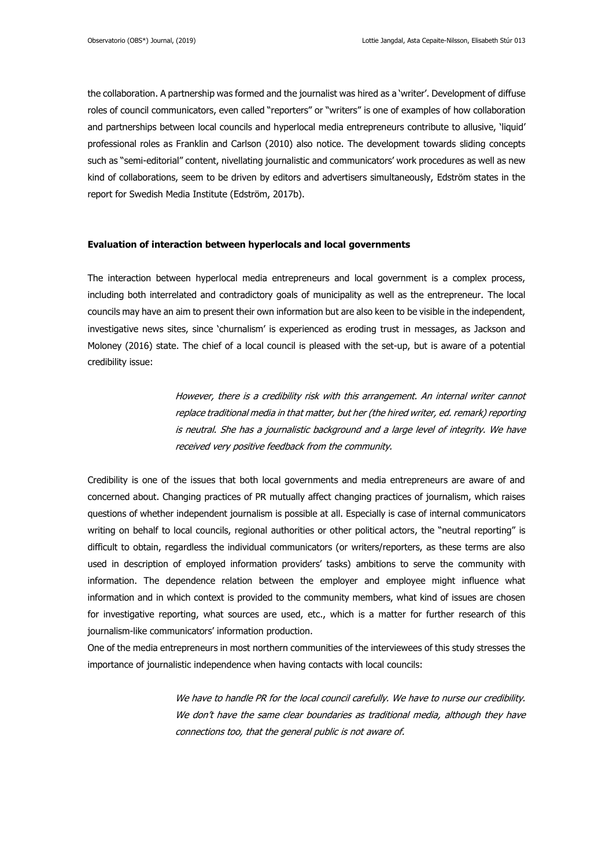the collaboration. A partnership was formed and the journalist was hired as a 'writer'. Development of diffuse roles of council communicators, even called "reporters" or "writers" is one of examples of how collaboration and partnerships between local councils and hyperlocal media entrepreneurs contribute to allusive, 'liquid' professional roles as Franklin and Carlson (2010) also notice. The development towards sliding concepts such as "semi-editorial" content, nivellating journalistic and communicators' work procedures as well as new kind of collaborations, seem to be driven by editors and advertisers simultaneously, Edström states in the report for Swedish Media Institute (Edström, 2017b).

#### **Evaluation of interaction between hyperlocals and local governments**

The interaction between hyperlocal media entrepreneurs and local government is a complex process, including both interrelated and contradictory goals of municipality as well as the entrepreneur. The local councils may have an aim to present their own information but are also keen to be visible in the independent, investigative news sites, since 'churnalism' is experienced as eroding trust in messages, as Jackson and Moloney (2016) state. The chief of a local council is pleased with the set-up, but is aware of a potential credibility issue:

> However, there is a credibility risk with this arrangement. An internal writer cannot replace traditional media in that matter, but her (the hired writer, ed. remark) reporting is neutral. She has a journalistic background and a large level of integrity. We have received very positive feedback from the community.

Credibility is one of the issues that both local governments and media entrepreneurs are aware of and concerned about. Changing practices of PR mutually affect changing practices of journalism, which raises questions of whether independent journalism is possible at all. Especially is case of internal communicators writing on behalf to local councils, regional authorities or other political actors, the "neutral reporting" is difficult to obtain, regardless the individual communicators (or writers/reporters, as these terms are also used in description of employed information providers' tasks) ambitions to serve the community with information. The dependence relation between the employer and employee might influence what information and in which context is provided to the community members, what kind of issues are chosen for investigative reporting, what sources are used, etc., which is a matter for further research of this journalism-like communicators' information production.

One of the media entrepreneurs in most northern communities of the interviewees of this study stresses the importance of journalistic independence when having contacts with local councils:

> We have to handle PR for the local council carefully. We have to nurse our credibility. We don't have the same clear boundaries as traditional media, although they have connections too, that the general public is not aware of.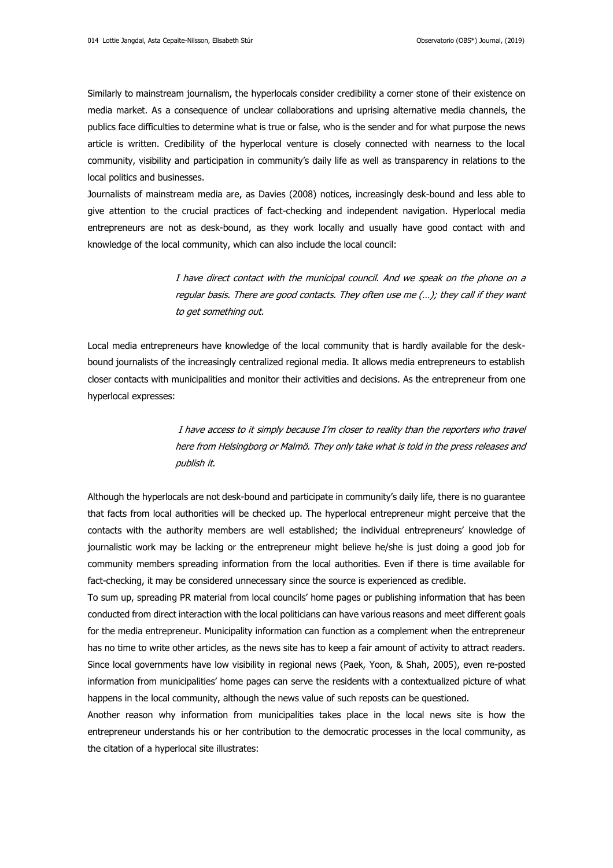Similarly to mainstream journalism, the hyperlocals consider credibility a corner stone of their existence on media market. As a consequence of unclear collaborations and uprising alternative media channels, the publics face difficulties to determine what is true or false, who is the sender and for what purpose the news article is written. Credibility of the hyperlocal venture is closely connected with nearness to the local community, visibility and participation in community's daily life as well as transparency in relations to the local politics and businesses.

Journalists of mainstream media are, as Davies (2008) notices, increasingly desk-bound and less able to give attention to the crucial practices of fact-checking and independent navigation. Hyperlocal media entrepreneurs are not as desk-bound, as they work locally and usually have good contact with and knowledge of the local community, which can also include the local council:

> I have direct contact with the municipal council. And we speak on the phone on a regular basis. There are good contacts. They often use me (…); they call if they want to get something out.

Local media entrepreneurs have knowledge of the local community that is hardly available for the deskbound journalists of the increasingly centralized regional media. It allows media entrepreneurs to establish closer contacts with municipalities and monitor their activities and decisions. As the entrepreneur from one hyperlocal expresses:

> I have access to it simply because I'm closer to reality than the reporters who travel here from Helsingborg or Malmö. They only take what is told in the press releases and publish it.

Although the hyperlocals are not desk-bound and participate in community's daily life, there is no guarantee that facts from local authorities will be checked up. The hyperlocal entrepreneur might perceive that the contacts with the authority members are well established; the individual entrepreneurs' knowledge of journalistic work may be lacking or the entrepreneur might believe he/she is just doing a good job for community members spreading information from the local authorities. Even if there is time available for fact-checking, it may be considered unnecessary since the source is experienced as credible.

To sum up, spreading PR material from local councils' home pages or publishing information that has been conducted from direct interaction with the local politicians can have various reasons and meet different goals for the media entrepreneur. Municipality information can function as a complement when the entrepreneur has no time to write other articles, as the news site has to keep a fair amount of activity to attract readers. Since local governments have low visibility in regional news (Paek, Yoon, & Shah, 2005), even re-posted information from municipalities' home pages can serve the residents with a contextualized picture of what happens in the local community, although the news value of such reposts can be questioned.

Another reason why information from municipalities takes place in the local news site is how the entrepreneur understands his or her contribution to the democratic processes in the local community, as the citation of a hyperlocal site illustrates: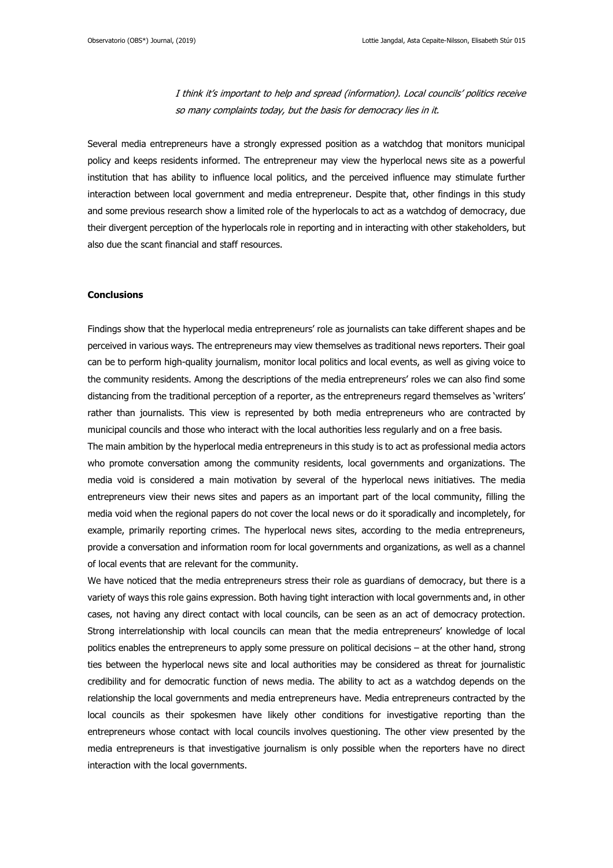I think it's important to help and spread (information). Local councils' politics receive so many complaints today, but the basis for democracy lies in it.

Several media entrepreneurs have a strongly expressed position as a watchdog that monitors municipal policy and keeps residents informed. The entrepreneur may view the hyperlocal news site as a powerful institution that has ability to influence local politics, and the perceived influence may stimulate further interaction between local government and media entrepreneur. Despite that, other findings in this study and some previous research show a limited role of the hyperlocals to act as a watchdog of democracy, due their divergent perception of the hyperlocals role in reporting and in interacting with other stakeholders, but also due the scant financial and staff resources.

#### **Conclusions**

Findings show that the hyperlocal media entrepreneurs' role as journalists can take different shapes and be perceived in various ways. The entrepreneurs may view themselves as traditional news reporters. Their goal can be to perform high-quality journalism, monitor local politics and local events, as well as giving voice to the community residents. Among the descriptions of the media entrepreneurs' roles we can also find some distancing from the traditional perception of a reporter, as the entrepreneurs regard themselves as 'writers' rather than journalists. This view is represented by both media entrepreneurs who are contracted by municipal councils and those who interact with the local authorities less regularly and on a free basis.

The main ambition by the hyperlocal media entrepreneurs in this study is to act as professional media actors who promote conversation among the community residents, local governments and organizations. The media void is considered a main motivation by several of the hyperlocal news initiatives. The media entrepreneurs view their news sites and papers as an important part of the local community, filling the media void when the regional papers do not cover the local news or do it sporadically and incompletely, for example, primarily reporting crimes. The hyperlocal news sites, according to the media entrepreneurs, provide a conversation and information room for local governments and organizations, as well as a channel of local events that are relevant for the community.

We have noticed that the media entrepreneurs stress their role as guardians of democracy, but there is a variety of ways this role gains expression. Both having tight interaction with local governments and, in other cases, not having any direct contact with local councils, can be seen as an act of democracy protection. Strong interrelationship with local councils can mean that the media entrepreneurs' knowledge of local politics enables the entrepreneurs to apply some pressure on political decisions – at the other hand, strong ties between the hyperlocal news site and local authorities may be considered as threat for journalistic credibility and for democratic function of news media. The ability to act as a watchdog depends on the relationship the local governments and media entrepreneurs have. Media entrepreneurs contracted by the local councils as their spokesmen have likely other conditions for investigative reporting than the entrepreneurs whose contact with local councils involves questioning. The other view presented by the media entrepreneurs is that investigative journalism is only possible when the reporters have no direct interaction with the local governments.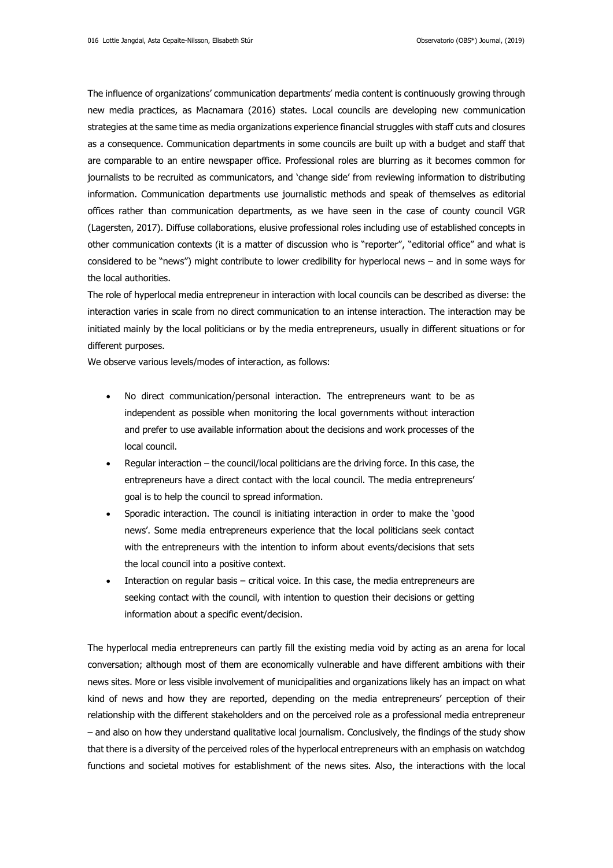The influence of organizations' communication departments' media content is continuously growing through new media practices, as Macnamara (2016) states. Local councils are developing new communication strategies at the same time as media organizations experience financial struggles with staff cuts and closures as a consequence. Communication departments in some councils are built up with a budget and staff that are comparable to an entire newspaper office. Professional roles are blurring as it becomes common for journalists to be recruited as communicators, and 'change side' from reviewing information to distributing information. Communication departments use journalistic methods and speak of themselves as editorial offices rather than communication departments, as we have seen in the case of county council VGR (Lagersten, 2017). Diffuse collaborations, elusive professional roles including use of established concepts in other communication contexts (it is a matter of discussion who is "reporter", "editorial office" and what is considered to be "news") might contribute to lower credibility for hyperlocal news – and in some ways for the local authorities.

The role of hyperlocal media entrepreneur in interaction with local councils can be described as diverse: the interaction varies in scale from no direct communication to an intense interaction. The interaction may be initiated mainly by the local politicians or by the media entrepreneurs, usually in different situations or for different purposes.

We observe various levels/modes of interaction, as follows:

- No direct communication/personal interaction. The entrepreneurs want to be as independent as possible when monitoring the local governments without interaction and prefer to use available information about the decisions and work processes of the local council.
- Regular interaction the council/local politicians are the driving force. In this case, the entrepreneurs have a direct contact with the local council. The media entrepreneurs' goal is to help the council to spread information.
- Sporadic interaction. The council is initiating interaction in order to make the 'good news'. Some media entrepreneurs experience that the local politicians seek contact with the entrepreneurs with the intention to inform about events/decisions that sets the local council into a positive context.
- Interaction on regular basis critical voice. In this case, the media entrepreneurs are seeking contact with the council, with intention to question their decisions or getting information about a specific event/decision.

The hyperlocal media entrepreneurs can partly fill the existing media void by acting as an arena for local conversation; although most of them are economically vulnerable and have different ambitions with their news sites. More or less visible involvement of municipalities and organizations likely has an impact on what kind of news and how they are reported, depending on the media entrepreneurs' perception of their relationship with the different stakeholders and on the perceived role as a professional media entrepreneur – and also on how they understand qualitative local journalism. Conclusively, the findings of the study show that there is a diversity of the perceived roles of the hyperlocal entrepreneurs with an emphasis on watchdog functions and societal motives for establishment of the news sites. Also, the interactions with the local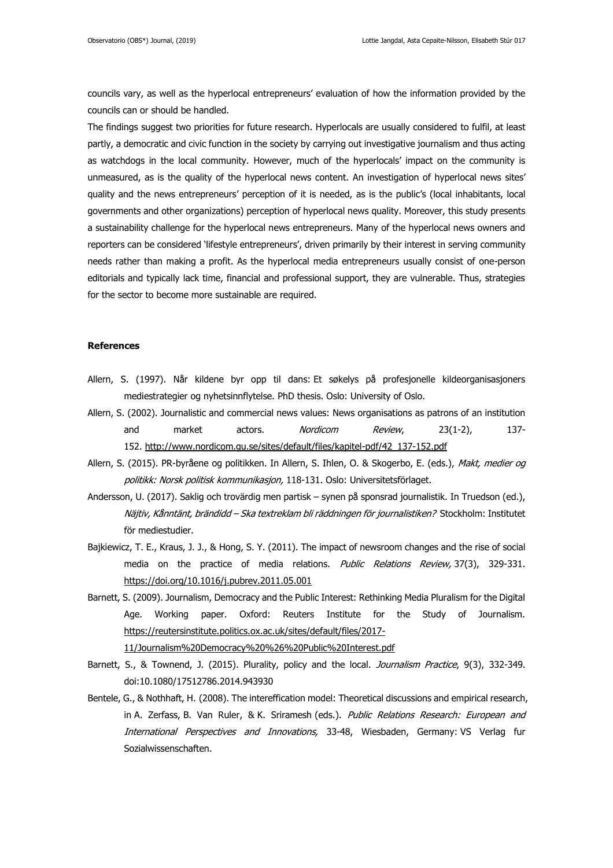councils vary, as well as the hyperlocal entrepreneurs' evaluation of how the information provided by the councils can or should be handled.

The findings suggest two priorities for future research. Hyperlocals are usually considered to fulfil, at least partly, a democratic and civic function in the society by carrying out investigative journalism and thus acting as watchdogs in the local community. However, much of the hyperlocals' impact on the community is unmeasured, as is the quality of the hyperlocal news content. An investigation of hyperlocal news sites' quality and the news entrepreneurs' perception of it is needed, as is the public's (local inhabitants, local governments and other organizations) perception of hyperlocal news quality. Moreover, this study presents a sustainability challenge for the hyperlocal news entrepreneurs. Many of the hyperlocal news owners and reporters can be considered 'lifestyle entrepreneurs', driven primarily by their interest in serving community needs rather than making a profit. As the hyperlocal media entrepreneurs usually consist of one-person editorials and typically lack time, financial and professional support, they are vulnerable. Thus, strategies for the sector to become more sustainable are required.

#### **References**

- Allern, S. (1997). Når kildene byr opp til dans: Et søkelys på profesjonelle kildeorganisasjoners mediestrategier og nyhetsinnflytelse. PhD thesis. Oslo: University of Oslo.
- Allern, S. (2002). Journalistic and commercial news values: News organisations as patrons of an institution and market actors. *Nordicom Review*, 23(1-2), 137-152. [http://www.nordicom.gu.se/sites/default/files/kapitel-pdf/42\\_137-152.pdf](http://www.nordicom.gu.se/sites/default/files/kapitel-pdf/42_137-152.pdf)
- Allern, S. (2015). PR-byråene og politikken. In Allern, S. Ihlen, O. & Skogerbo, E. (eds.), Makt, medier og politikk: Norsk politisk kommunikasjon, 118-131. Oslo: Universitetsförlaget.
- Andersson, U. (2017). Saklig och trovärdig men partisk synen på sponsrad journalistik. In Truedson (ed.), Näjtiv, Kånntänt, brändidd - Ska textreklam bli räddningen för journalistiken? Stockholm: Institutet för mediestudier.
- Bajkiewicz, T. E., Kraus, J. J., & Hong, S. Y. (2011). The impact of newsroom changes and the rise of social media on the practice of media relations. Public Relations Review, 37(3), 329-331. <https://doi.org/10.1016/j.pubrev.2011.05.001>
- Barnett, S. (2009). Journalism, Democracy and the Public Interest: Rethinking Media Pluralism for the Digital Age. Working paper. Oxford: Reuters Institute for the Study of Journalism. [https://reutersinstitute.politics.ox.ac.uk/sites/default/files/2017-](https://reutersinstitute.politics.ox.ac.uk/sites/default/files/2017-11/Journalism%20Democracy%20%26%20Public%20Interest.pdf)
	- [11/Journalism%20Democracy%20%26%20Public%20Interest.pdf](https://reutersinstitute.politics.ox.ac.uk/sites/default/files/2017-11/Journalism%20Democracy%20%26%20Public%20Interest.pdf)
- Barnett, S., & Townend, J. (2015). Plurality, policy and the local. Journalism Practice, 9(3), 332-349. doi:10.1080/17512786.2014.943930
- Bentele, G., & Nothhaft, H. (2008). The intereffication model: Theoretical discussions and empirical research, in A. Zerfass, B. Van Ruler, & K. Sriramesh (eds.). Public Relations Research: European and International Perspectives and Innovations, 33-48, Wiesbaden, Germany: VS Verlag fur Sozialwissenschaften.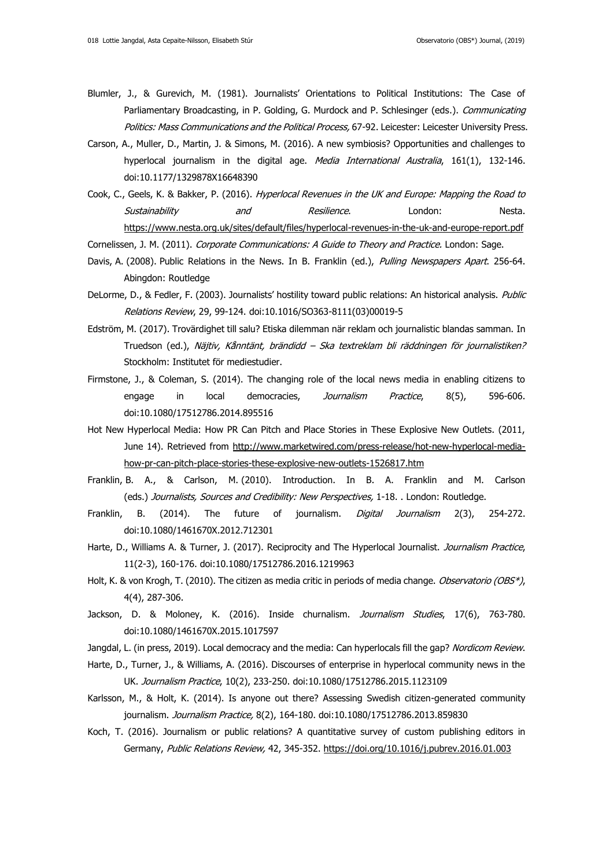- Blumler, J., & Gurevich, M. (1981). Journalists' Orientations to Political Institutions: The Case of Parliamentary Broadcasting, in P. Golding, G. Murdock and P. Schlesinger (eds.). Communicating Politics: Mass Communications and the Political Process, 67-92. Leicester: Leicester University Press.
- Carson, A., Muller, D., Martin, J. & Simons, M. (2016). A new symbiosis? Opportunities and challenges to hyperlocal journalism in the digital age. Media International Australia, 161(1), 132-146. doi:10.1177/1329878X16648390
- Cook, C., Geels, K. & Bakker, P. (2016). Hyperlocal Revenues in the UK and Europe: Mapping the Road to Sustainability and Resilience. London: Nesta. <https://www.nesta.org.uk/sites/default/files/hyperlocal-revenues-in-the-uk-and-europe-report.pdf>

Cornelissen, J. M. (2011). Corporate Communications: A Guide to Theory and Practice. London: Sage.

- Davis, A. (2008). Public Relations in the News. In B. Franklin (ed.), Pulling Newspapers Apart. 256-64. Abingdon: Routledge
- DeLorme, D., & Fedler, F. (2003). Journalists' hostility toward public relations: An historical analysis. Public Relations Review, 29, 99-124. doi:10.1016/SO363-8111(03)00019-5
- Edström, M. (2017). Trovärdighet till salu? Etiska dilemman när reklam och journalistic blandas samman. In Truedson (ed.), Näjtiv, Kånntänt, brändidd – Ska textreklam bli räddningen för journalistiken? Stockholm: Institutet för mediestudier.
- Firmstone, J., & Coleman, S. (2014). The changing role of the local news media in enabling citizens to engage in local democracies, Journalism Practice, 8(5), 596-606. doi:10.1080/17512786.2014.895516
- Hot New Hyperlocal Media: How PR Can Pitch and Place Stories in These Explosive New Outlets. (2011, June 14). Retrieved from [http://www.marketwired.com/press-release/hot-new-hyperlocal-media](http://www.marketwired.com/press-release/hot-new-hyperlocal-media-how-pr-can-pitch-place-stories-these-explosive-new-outlets-1526817.htm)[how-pr-can-pitch-place-stories-these-explosive-new-outlets-1526817.htm](http://www.marketwired.com/press-release/hot-new-hyperlocal-media-how-pr-can-pitch-place-stories-these-explosive-new-outlets-1526817.htm)
- Franklin, B. A., & Carlson, M. (2010). Introduction. In B. A. Franklin and M. Carlson (eds.) Journalists, Sources and Credibility: New Perspectives, 1-18. . London: Routledge.
- Franklin, B. (2014). The future of journalism. *Digital Journalism* 2(3), 254-272. doi:10.1080/1461670X.2012.712301
- Harte, D., Williams A. & Turner, J. (2017). Reciprocity and The Hyperlocal Journalist. Journalism Practice, 11(2-3), 160-176. doi:10.1080/17512786.2016.1219963
- Holt, K. & von Krogh, T. (2010). The citizen as media critic in periods of media change. Observatorio (OBS\*), 4(4), 287-306.
- Jackson, D. & Moloney, K. (2016). Inside churnalism. Journalism Studies, 17(6), 763-780. doi:10.1080/1461670X.2015.1017597
- Jangdal, L. (in press, 2019). Local democracy and the media: Can hyperlocals fill the gap? Nordicom Review.
- Harte, D., Turner, J., & Williams, A. (2016). Discourses of enterprise in hyperlocal community news in the UK. Journalism Practice, 10(2), 233-250. doi:10.1080/17512786.2015.1123109
- Karlsson, M., & Holt, K. (2014). Is anyone out there? Assessing Swedish citizen-generated community journalism. Journalism Practice, 8(2), 164-180. doi:10.1080/17512786.2013.859830
- Koch, T. (2016). Journalism or public relations? A quantitative survey of custom publishing editors in Germany, Public Relations Review, 42, 345-352. <https://doi.org/10.1016/j.pubrev.2016.01.003>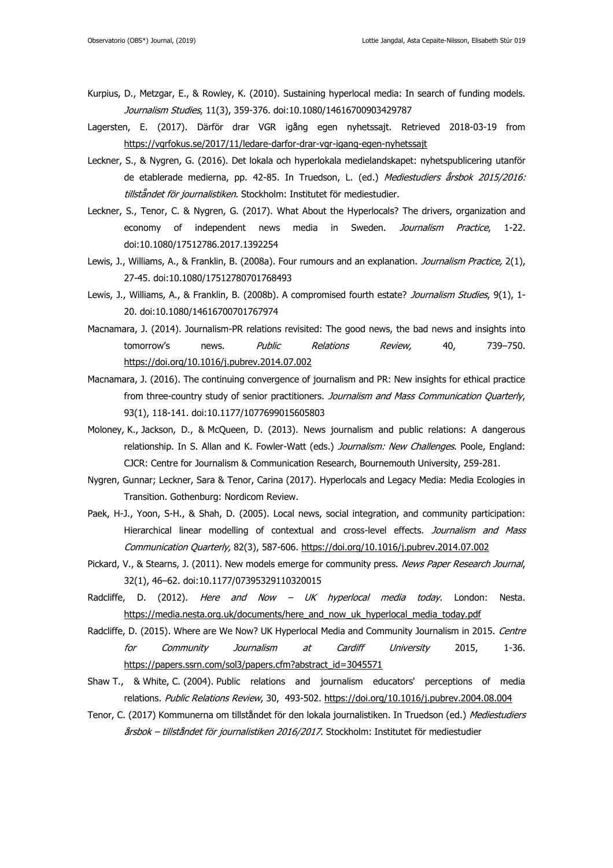- Kurpius, D., Metzgar, E., & Rowley, K. (2010). Sustaining hyperlocal media: In search of funding models. Journalism Studies, 11(3), 359-376. doi:10.1080/14616700903429787
- Lagersten, E. (2017). Därför drar VGR igång egen nyhetssajt. Retrieved 2018-03-19 from <https://vgrfokus.se/2017/11/ledare-darfor-drar-vgr-igang-egen-nyhetssajt>
- Leckner, S., & Nygren, G. (2016). Det lokala och hyperlokala medielandskapet: nyhetspublicering utanför de etablerade medierna, pp. 42-85. In Truedson, L. (ed.) Mediestudiers årsbok 2015/2016: tillståndet för journalistiken. Stockholm: Institutet för mediestudier.
- Leckner, S., Tenor, C. & Nygren, G. (2017). What About the Hyperlocals? The drivers, organization and economy of independent news media in Sweden. Journalism Practice, 1-22. doi:10.1080/17512786.2017.1392254
- Lewis, J., Williams, A., & Franklin, B. (2008a). Four rumours and an explanation. *Journalism Practice,* 2(1), 27-45. doi:10.1080/17512780701768493
- Lewis, J., Williams, A., & Franklin, B. (2008b). A compromised fourth estate? Journalism Studies, 9(1), 1-20. doi:10.1080/14616700701767974
- Macnamara, J. (2014). Journalism-PR relations revisited: The good news, the bad news and insights into tomorrow's news. *Public Relations Review*, 40, 739-750. <https://doi.org/10.1016/j.pubrev.2014.07.002>
- Macnamara, J. (2016). The continuing convergence of journalism and PR: New insights for ethical practice from three-country study of senior practitioners. Journalism and Mass Communication Quarterly, 93(1), 118-141. doi:10.1177/1077699015605803
- Moloney, K., Jackson, D., & McQueen, D. (2013). News journalism and public relations: A dangerous relationship. In S. Allan and K. Fowler-Watt (eds.) Journalism: New Challenges. Poole, England: CJCR: Centre for Journalism & Communication Research, Bournemouth University, 259-281.
- Nygren, Gunnar; Leckner, Sara & Tenor, Carina (2017). Hyperlocals and Legacy Media: Media Ecologies in Transition. Gothenburg: Nordicom Review.
- Paek, H-J., Yoon, S-H., & Shah, D. (2005). Local news, social integration, and community participation: Hierarchical linear modelling of contextual and cross-level effects. Journalism and Mass Communication Quarterly, 82(3), 587-606. <https://doi.org/10.1016/j.pubrev.2014.07.002>
- Pickard, V., & Stearns, J. (2011). New models emerge for community press. News Paper Research Journal, 32(1), 46–62. doi:10.1177/07395329110320015
- Radcliffe, D. (2012). Here and Now UK hyperlocal media today. London: Nesta. [https://media.nesta.org.uk/documents/here\\_and\\_now\\_uk\\_hyperlocal\\_media\\_today.pdf](https://media.nesta.org.uk/documents/here_and_now_uk_hyperlocal_media_today.pdf)
- Radcliffe, D. (2015). Where are We Now? UK Hyperlocal Media and Community Journalism in 2015. Centre for Community Journalism at Cardiff University 2015, 1-36. [https://papers.ssrn.com/sol3/papers.cfm?abstract\\_id=3045571](https://papers.ssrn.com/sol3/papers.cfm?abstract_id=3045571)
- Shaw T., & White, C. (2004). Public relations and journalism educators' perceptions of media relations. Public Relations Review, 30, 493-502. <https://doi.org/10.1016/j.pubrev.2004.08.004>
- Tenor, C. (2017) Kommunerna om tillståndet för den lokala journalistiken. In Truedson (ed.) Mediestudiers årsbok – tillståndet för journalistiken 2016/2017. Stockholm: Institutet för mediestudier